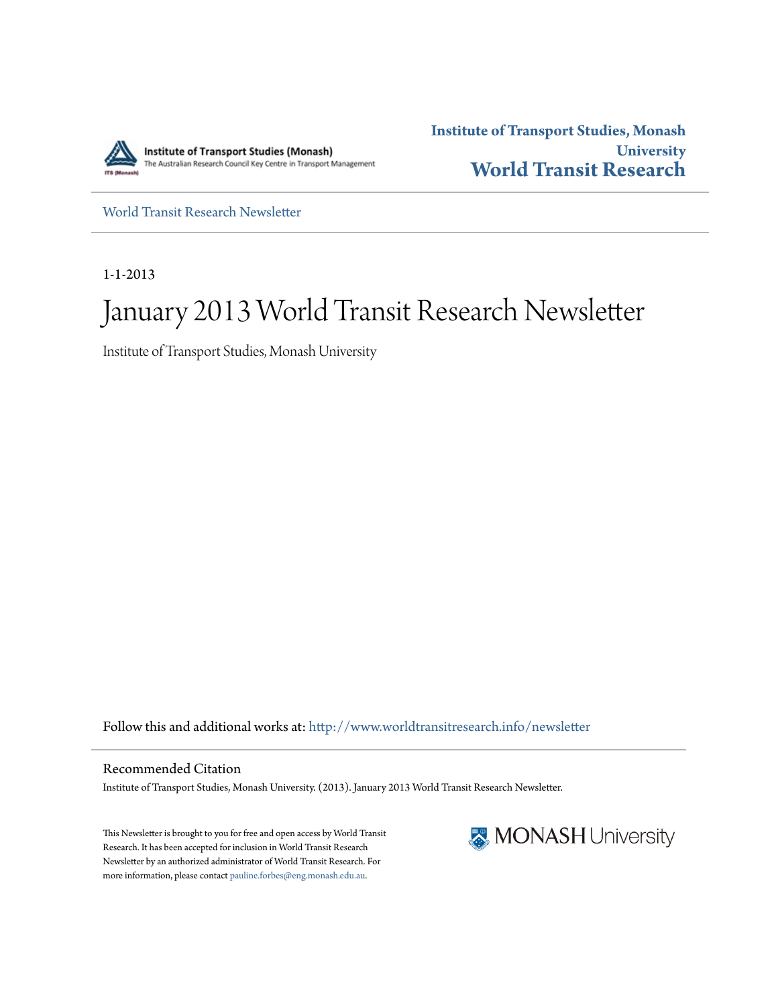

**Institute of Transport Studies, Monash University [World Transit Research](http://www.worldtransitresearch.info?utm_source=www.worldtransitresearch.info%2Fnewsletter%2F16&utm_medium=PDF&utm_campaign=PDFCoverPages)**

[World Transit Research Newsletter](http://www.worldtransitresearch.info/newsletter?utm_source=www.worldtransitresearch.info%2Fnewsletter%2F16&utm_medium=PDF&utm_campaign=PDFCoverPages)

1-1-2013

# January 2013 World Transit Research Newsletter

Institute of Transport Studies, Monash University

Follow this and additional works at: [http://www.worldtransitresearch.info/newsletter](http://www.worldtransitresearch.info/newsletter?utm_source=www.worldtransitresearch.info%2Fnewsletter%2F16&utm_medium=PDF&utm_campaign=PDFCoverPages)

Recommended Citation Institute of Transport Studies, Monash University. (2013). January 2013 World Transit Research Newsletter.

This Newsletter is brought to you for free and open access by World Transit Research. It has been accepted for inclusion in World Transit Research Newsletter by an authorized administrator of World Transit Research. For more information, please contact [pauline.forbes@eng.monash.edu.au](mailto:pauline.forbes@eng.monash.edu.au).

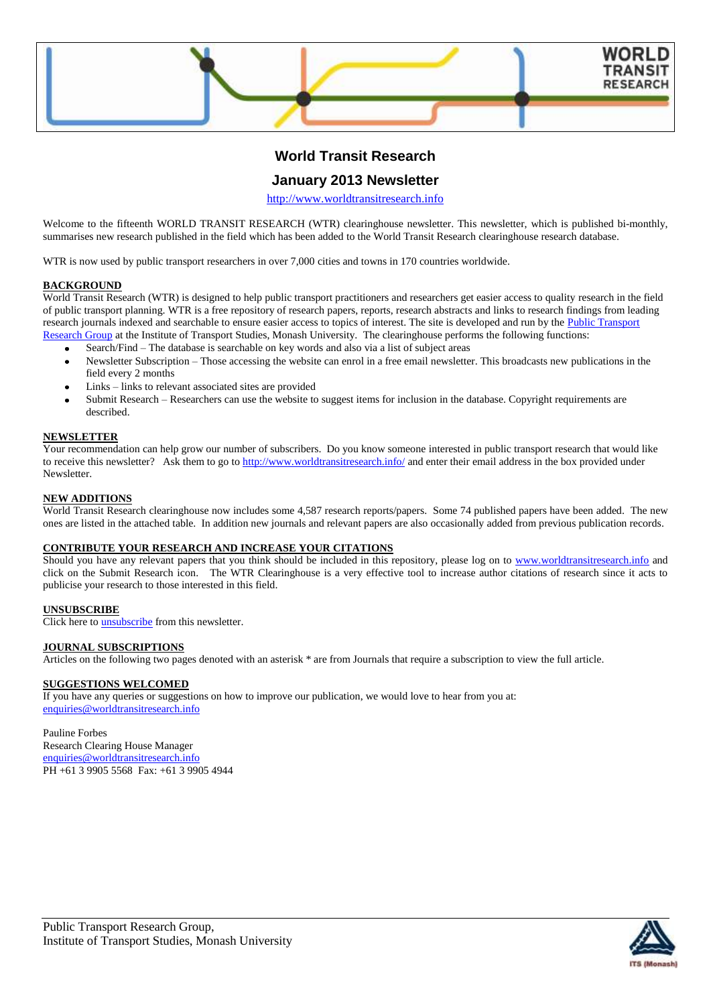

# **World Transit Research**

# **January 2013 Newsletter**

[http://www.worldtransitresearch.info](http://www.worldtransitresearch.info/)

Welcome to the fifteenth WORLD TRANSIT RESEARCH (WTR) clearinghouse newsletter. This newsletter, which is published bi-monthly, summarises new research published in the field which has been added to the World Transit Research clearinghouse research database.

WTR is now used by public transport researchers in over 7,000 cities and towns in 170 countries worldwide.

## **BACKGROUND**

World Transit Research (WTR) is designed to help public transport practitioners and researchers get easier access to quality research in the field of public transport planning. WTR is a free repository of research papers, reports, research abstracts and links to research findings from leading research journals indexed and searchable to ensure easier access to topics of interest. The site is developed and run by the Public Transport [Research Group](http://eng.monash.edu.au/civil/research/centres/its/research-activities/public-transport-planning.html) at the Institute of Transport Studies, Monash University. The clearinghouse performs the following functions:

- Search/Find The database is searchable on key words and also via a list of subject areas
- Newsletter Subscription Those accessing the website can enrol in a free email newsletter. This broadcasts new publications in the field every 2 months
- Links links to relevant associated sites are provided
- Submit Research Researchers can use the website to suggest items for inclusion in the database. Copyright requirements are described.

#### **NEWSLETTER**

Your recommendation can help grow our number of subscribers. Do you know someone interested in public transport research that would like to receive this newsletter? Ask them to go to<http://www.worldtransitresearch.info/> and enter their email address in the box provided under Newsletter.

### **NEW ADDITIONS**

World Transit Research clearinghouse now includes some 4,587 research reports/papers. Some 74 published papers have been added. The new ones are listed in the attached table. In addition new journals and relevant papers are also occasionally added from previous publication records.

### **CONTRIBUTE YOUR RESEARCH AND INCREASE YOUR CITATIONS**

Should you have any relevant papers that you think should be included in this repository, please log on to [www.worldtransitresearch.info](http://www.worldtransitresearch.info/) and click on the Submit Research icon. The WTR Clearinghouse is a very effective tool to increase author citations of research since it acts to publicise your research to those interested in this field.

# **UNSUBSCRIBE**

Click here to **unsubscribe** from this newsletter.

### **JOURNAL SUBSCRIPTIONS**

Articles on the following two pages denoted with an asterisk \* are from Journals that require a subscription to view the full article.

# **SUGGESTIONS WELCOMED**

If you have any queries or suggestions on how to improve our publication, we would love to hear from you at: [enquiries@worldtransitresearch.info](mailto:enquiries@worldtransitresearch.info)

### Pauline Forbes

Research Clearing House Manager [enquiries@worldtransitresearch.info](mailto:enquiries@worldtransitresearch.info) PH +61 3 9905 5568 Fax: +61 3 9905 4944

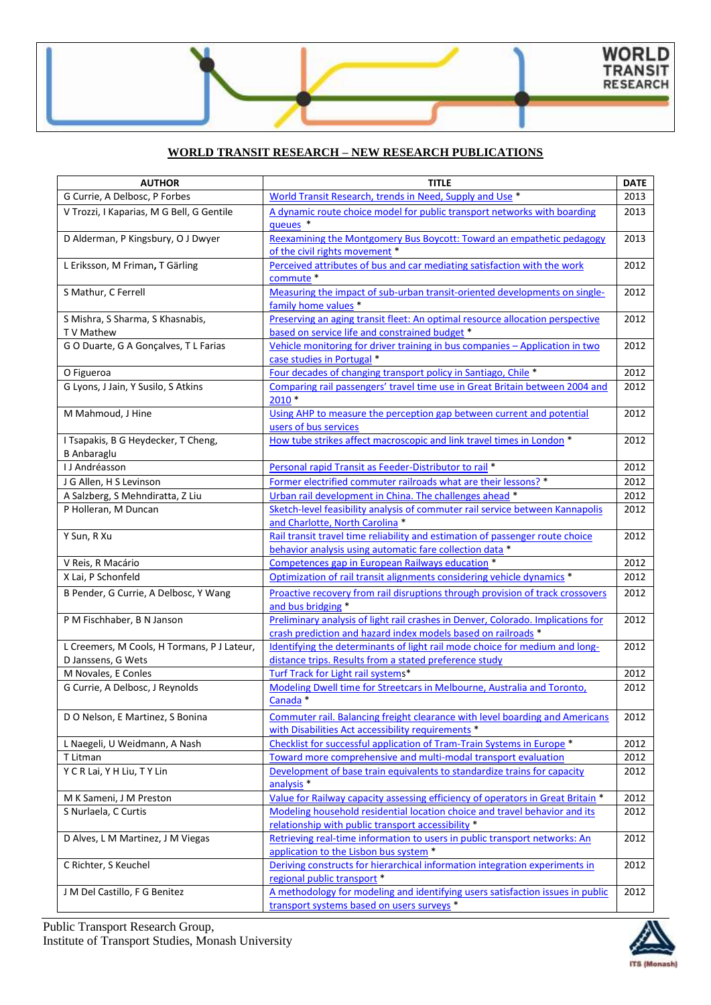# **WORLD TRANSIT RESEARCH – NEW RESEARCH PUBLICATIONS**

| <b>AUTHOR</b>                                   | <b>TITLE</b>                                                                                                                     | <b>DATE</b> |
|-------------------------------------------------|----------------------------------------------------------------------------------------------------------------------------------|-------------|
| G Currie, A Delbosc, P Forbes                   | World Transit Research, trends in Need, Supply and Use *                                                                         | 2013        |
| V Trozzi, I Kaparias, M G Bell, G Gentile       | A dynamic route choice model for public transport networks with boarding                                                         | 2013        |
|                                                 | queues <sup>*</sup>                                                                                                              |             |
| D Alderman, P Kingsbury, O J Dwyer              | Reexamining the Montgomery Bus Boycott: Toward an empathetic pedagogy                                                            | 2013        |
|                                                 | of the civil rights movement *                                                                                                   |             |
| L Eriksson, M Friman, T Gärling                 | Perceived attributes of bus and car mediating satisfaction with the work                                                         | 2012        |
|                                                 | commute *                                                                                                                        |             |
| S Mathur, C Ferrell                             | Measuring the impact of sub-urban transit-oriented developments on single-                                                       | 2012        |
|                                                 | family home values *                                                                                                             |             |
| S Mishra, S Sharma, S Khasnabis,                | Preserving an aging transit fleet: An optimal resource allocation perspective                                                    | 2012        |
| T V Mathew                                      | based on service life and constrained budget *                                                                                   |             |
| GO Duarte, GA Gonçalves, TL Farias              | Vehicle monitoring for driver training in bus companies - Application in two<br>case studies in Portugal *                       | 2012        |
| O Figueroa                                      | Four decades of changing transport policy in Santiago, Chile *                                                                   | 2012        |
| G Lyons, J Jain, Y Susilo, S Atkins             | Comparing rail passengers' travel time use in Great Britain between 2004 and                                                     | 2012        |
|                                                 | $2010*$                                                                                                                          |             |
| M Mahmoud, J Hine                               | Using AHP to measure the perception gap between current and potential                                                            | 2012        |
|                                                 | users of bus services                                                                                                            |             |
| I Tsapakis, B G Heydecker, T Cheng,             | How tube strikes affect macroscopic and link travel times in London *                                                            | 2012        |
| <b>B</b> Anbaraglu                              |                                                                                                                                  |             |
| I J Andréasson                                  | Personal rapid Transit as Feeder-Distributor to rail *                                                                           | 2012        |
| J G Allen, H S Levinson                         | Former electrified commuter railroads what are their lessons? *                                                                  | 2012        |
| A Salzberg, S Mehndiratta, Z Liu                | Urban rail development in China. The challenges ahead *                                                                          | 2012        |
| P Holleran, M Duncan                            | Sketch-level feasibility analysis of commuter rail service between Kannapolis                                                    | 2012        |
|                                                 | and Charlotte, North Carolina *                                                                                                  |             |
| Y Sun, R Xu                                     | Rail transit travel time reliability and estimation of passenger route choice                                                    | 2012        |
|                                                 | behavior analysis using automatic fare collection data *                                                                         |             |
| V Reis, R Macário                               | Competences gap in European Railways education *                                                                                 | 2012        |
| X Lai, P Schonfeld                              | Optimization of rail transit alignments considering vehicle dynamics *                                                           | 2012        |
| B Pender, G Currie, A Delbosc, Y Wang           | Proactive recovery from rail disruptions through provision of track crossovers                                                   | 2012        |
|                                                 | and bus bridging *                                                                                                               |             |
| P M Fischhaber, B N Janson                      | Preliminary analysis of light rail crashes in Denver, Colorado. Implications for                                                 | 2012        |
|                                                 | crash prediction and hazard index models based on railroads *                                                                    |             |
| L Creemers, M Cools, H Tormans, P J Lateur,     | Identifying the determinants of light rail mode choice for medium and long-                                                      | 2012        |
| D Janssens, G Wets                              | distance trips. Results from a stated preference study                                                                           |             |
| M Novales, E Conles                             | Turf Track for Light rail systems*                                                                                               | 2012        |
| G Currie, A Delbosc, J Reynolds                 | Modeling Dwell time for Streetcars in Melbourne, Australia and Toronto,                                                          | 2012        |
|                                                 | Canada *                                                                                                                         |             |
| D O Nelson, E Martinez, S Bonina                | Commuter rail. Balancing freight clearance with level boarding and Americans                                                     | 2012        |
|                                                 | with Disabilities Act accessibility requirements *                                                                               |             |
| L Naegeli, U Weidmann, A Nash                   | Checklist for successful application of Tram-Train Systems in Europe *                                                           | 2012        |
| T Litman                                        | Toward more comprehensive and multi-modal transport evaluation                                                                   | 2012        |
| Y C R Lai, Y H Liu, T Y Lin                     | Development of base train equivalents to standardize trains for capacity                                                         | 2012        |
|                                                 | analysis <sup>*</sup>                                                                                                            |             |
| M K Sameni, J M Preston<br>S Nurlaela, C Curtis | Value for Railway capacity assessing efficiency of operators in Great Britain *                                                  | 2012        |
|                                                 | Modeling household residential location choice and travel behavior and its<br>relationship with public transport accessibility * | 2012        |
| D Alves, L M Martinez, J M Viegas               | Retrieving real-time information to users in public transport networks: An                                                       | 2012        |
|                                                 | application to the Lisbon bus system *                                                                                           |             |
| C Richter, S Keuchel                            | Deriving constructs for hierarchical information integration experiments in                                                      | 2012        |
|                                                 | regional public transport *                                                                                                      |             |
| J M Del Castillo, F G Benitez                   | A methodology for modeling and identifying users satisfaction issues in public                                                   | 2012        |
|                                                 | transport systems based on users surveys *                                                                                       |             |